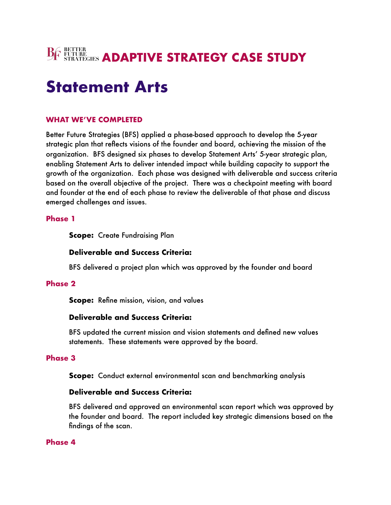

# **Statement Arts**

## **WHAT WE'VE COMPLETED**

Better Future Strategies (BFS) applied a phase-based approach to develop the 5-year strategic plan that reflects visions of the founder and board, achieving the mission of the organization. BFS designed six phases to develop Statement Arts' 5-year strategic plan, enabling Statement Arts to deliver intended impact while building capacity to support the growth of the organization. Each phase was designed with deliverable and success criteria based on the overall objective of the project. There was a checkpoint meeting with board and founder at the end of each phase to review the deliverable of that phase and discuss emerged challenges and issues.

#### **Phase 1**

**Scope:** Create Fundraising Plan

## **Deliverable and Success Criteria:**

BFS delivered a project plan which was approved by the founder and board

## **Phase 2**

**Scope:** Refine mission, vision, and values

## **Deliverable and Success Criteria:**

BFS updated the current mission and vision statements and defined new values statements. These statements were approved by the board.

## **Phase 3**

**Scope:** Conduct external environmental scan and benchmarking analysis

## **Deliverable and Success Criteria:**

BFS delivered and approved an environmental scan report which was approved by the founder and board. The report included key strategic dimensions based on the findings of the scan.

#### **Phase 4**